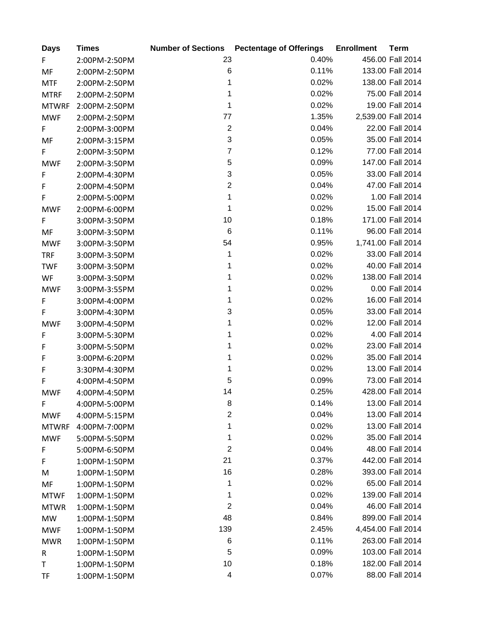| <b>Days</b>  | <b>Times</b>  |                           | <b>Number of Sections Pectentage of Offerings</b> | <b>Enrollment</b> | <b>Term</b>        |
|--------------|---------------|---------------------------|---------------------------------------------------|-------------------|--------------------|
| F.           | 2:00PM-2:50PM | 23                        | 0.40%                                             |                   | 456.00 Fall 2014   |
| MF           | 2:00PM-2:50PM | $\,6$                     | 0.11%                                             |                   | 133.00 Fall 2014   |
| <b>MTF</b>   | 2:00PM-2:50PM | 1                         | 0.02%                                             |                   | 138.00 Fall 2014   |
| <b>MTRF</b>  | 2:00PM-2:50PM | 1                         | 0.02%                                             |                   | 75.00 Fall 2014    |
| <b>MTWRF</b> | 2:00PM-2:50PM | 1                         | 0.02%                                             |                   | 19.00 Fall 2014    |
| <b>MWF</b>   | 2:00PM-2:50PM | 77                        | 1.35%                                             |                   | 2,539.00 Fall 2014 |
| F.           | 2:00PM-3:00PM | $\sqrt{2}$                | 0.04%                                             |                   | 22.00 Fall 2014    |
| MF           | 2:00PM-3:15PM | $\mathbf{3}$              | 0.05%                                             |                   | 35.00 Fall 2014    |
| F            | 2:00PM-3:50PM | $\overline{7}$            | 0.12%                                             |                   | 77.00 Fall 2014    |
| <b>MWF</b>   | 2:00PM-3:50PM | $\sqrt{5}$                | 0.09%                                             |                   | 147.00 Fall 2014   |
| $\mathsf F$  | 2:00PM-4:30PM | $\ensuremath{\mathsf{3}}$ | 0.05%                                             |                   | 33.00 Fall 2014    |
| F            | 2:00PM-4:50PM | $\sqrt{2}$                | 0.04%                                             |                   | 47.00 Fall 2014    |
| F            | 2:00PM-5:00PM | 1                         | 0.02%                                             |                   | 1.00 Fall 2014     |
| <b>MWF</b>   | 2:00PM-6:00PM | 1                         | 0.02%                                             |                   | 15.00 Fall 2014    |
| F            | 3:00PM-3:50PM | 10                        | 0.18%                                             |                   | 171.00 Fall 2014   |
| MF           | 3:00PM-3:50PM | $\,6$                     | 0.11%                                             |                   | 96.00 Fall 2014    |
| <b>MWF</b>   | 3:00PM-3:50PM | 54                        | 0.95%                                             |                   | 1,741.00 Fall 2014 |
| <b>TRF</b>   | 3:00PM-3:50PM | 1                         | 0.02%                                             |                   | 33.00 Fall 2014    |
| <b>TWF</b>   | 3:00PM-3:50PM | 1                         | 0.02%                                             |                   | 40.00 Fall 2014    |
| WF           | 3:00PM-3:50PM | 1                         | 0.02%                                             |                   | 138.00 Fall 2014   |
| <b>MWF</b>   | 3:00PM-3:55PM | 1                         | 0.02%                                             |                   | 0.00 Fall 2014     |
| F            | 3:00PM-4:00PM | 1                         | 0.02%                                             |                   | 16.00 Fall 2014    |
| F            | 3:00PM-4:30PM | 3                         | 0.05%                                             |                   | 33.00 Fall 2014    |
| <b>MWF</b>   | 3:00PM-4:50PM | 1                         | 0.02%                                             |                   | 12.00 Fall 2014    |
| F            | 3:00PM-5:30PM | 1                         | 0.02%                                             |                   | 4.00 Fall 2014     |
| F            | 3:00PM-5:50PM | 1                         | 0.02%                                             |                   | 23.00 Fall 2014    |
| F            | 3:00PM-6:20PM | 1                         | 0.02%                                             |                   | 35.00 Fall 2014    |
| F            | 3:30PM-4:30PM | 1                         | 0.02%                                             |                   | 13.00 Fall 2014    |
| F            | 4:00PM-4:50PM | 5                         | 0.09%                                             |                   | 73.00 Fall 2014    |
| <b>MWF</b>   | 4:00PM-4:50PM | 14                        | 0.25%                                             |                   | 428.00 Fall 2014   |
| F            | 4:00PM-5:00PM | 8                         | 0.14%                                             |                   | 13.00 Fall 2014    |
| <b>MWF</b>   | 4:00PM-5:15PM | $\overline{\mathbf{c}}$   | 0.04%                                             |                   | 13.00 Fall 2014    |
| <b>MTWRF</b> | 4:00PM-7:00PM | 1                         | 0.02%                                             |                   | 13.00 Fall 2014    |
| <b>MWF</b>   | 5:00PM-5:50PM | 1                         | 0.02%                                             |                   | 35.00 Fall 2014    |
| F            | 5:00PM-6:50PM | $\boldsymbol{2}$          | 0.04%                                             |                   | 48.00 Fall 2014    |
| F            | 1:00PM-1:50PM | 21                        | 0.37%                                             |                   | 442.00 Fall 2014   |
| M            | 1:00PM-1:50PM | 16                        | 0.28%                                             |                   | 393.00 Fall 2014   |
| MF           | 1:00PM-1:50PM | 1                         | 0.02%                                             |                   | 65.00 Fall 2014    |
| <b>MTWF</b>  | 1:00PM-1:50PM | 1                         | 0.02%                                             |                   | 139.00 Fall 2014   |
| <b>MTWR</b>  | 1:00PM-1:50PM | $\overline{2}$            | 0.04%                                             |                   | 46.00 Fall 2014    |
| MW           | 1:00PM-1:50PM | 48                        | 0.84%                                             |                   | 899.00 Fall 2014   |
| <b>MWF</b>   | 1:00PM-1:50PM | 139                       | 2.45%                                             |                   | 4,454.00 Fall 2014 |
| <b>MWR</b>   | 1:00PM-1:50PM | 6                         | 0.11%                                             |                   | 263.00 Fall 2014   |
| R            | 1:00PM-1:50PM | 5                         | 0.09%                                             |                   | 103.00 Fall 2014   |
| T            | 1:00PM-1:50PM | 10                        | 0.18%                                             |                   | 182.00 Fall 2014   |
| TF           | 1:00PM-1:50PM | 4                         | 0.07%                                             |                   | 88.00 Fall 2014    |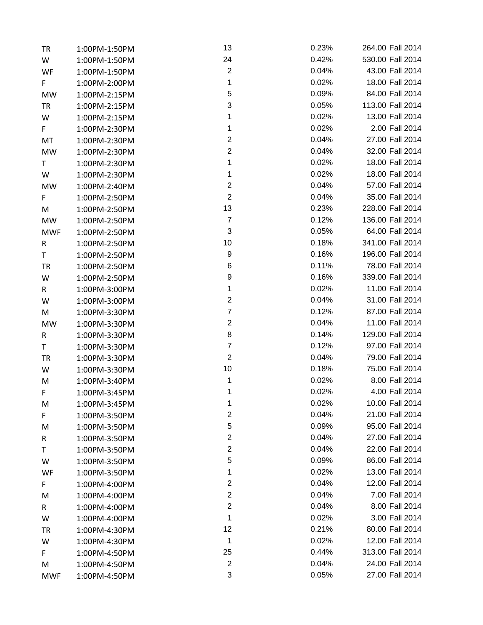| <b>TR</b>  | 1:00PM-1:50PM | 13                      | 0.23% | 264.00 Fall 2014 |
|------------|---------------|-------------------------|-------|------------------|
| W          | 1:00PM-1:50PM | 24                      | 0.42% | 530.00 Fall 2014 |
| WF         | 1:00PM-1:50PM | $\boldsymbol{2}$        | 0.04% | 43.00 Fall 2014  |
| F.         | 1:00PM-2:00PM | 1                       | 0.02% | 18.00 Fall 2014  |
| MW         | 1:00PM-2:15PM | 5                       | 0.09% | 84.00 Fall 2014  |
| <b>TR</b>  | 1:00PM-2:15PM | 3                       | 0.05% | 113.00 Fall 2014 |
| W          | 1:00PM-2:15PM | 1                       | 0.02% | 13.00 Fall 2014  |
| F.         | 1:00PM-2:30PM | 1                       | 0.02% | 2.00 Fall 2014   |
| MT         | 1:00PM-2:30PM | $\overline{c}$          | 0.04% | 27.00 Fall 2014  |
| MW         | 1:00PM-2:30PM | $\mathbf{2}$            | 0.04% | 32.00 Fall 2014  |
| T.         | 1:00PM-2:30PM | $\mathbf{1}$            | 0.02% | 18.00 Fall 2014  |
| W          | 1:00PM-2:30PM | $\mathbf{1}$            | 0.02% | 18.00 Fall 2014  |
| MW         | 1:00PM-2:40PM | $\boldsymbol{2}$        | 0.04% | 57.00 Fall 2014  |
| F          | 1:00PM-2:50PM | $\boldsymbol{2}$        | 0.04% | 35.00 Fall 2014  |
| M          | 1:00PM-2:50PM | 13                      | 0.23% | 228.00 Fall 2014 |
| <b>MW</b>  | 1:00PM-2:50PM | $\overline{7}$          | 0.12% | 136.00 Fall 2014 |
| <b>MWF</b> | 1:00PM-2:50PM | 3                       | 0.05% | 64.00 Fall 2014  |
| R          | 1:00PM-2:50PM | 10                      | 0.18% | 341.00 Fall 2014 |
| T          | 1:00PM-2:50PM | 9                       | 0.16% | 196.00 Fall 2014 |
| <b>TR</b>  | 1:00PM-2:50PM | 6                       | 0.11% | 78.00 Fall 2014  |
| W          | 1:00PM-2:50PM | 9                       | 0.16% | 339.00 Fall 2014 |
| R          | 1:00PM-3:00PM | 1                       | 0.02% | 11.00 Fall 2014  |
| W          | 1:00PM-3:00PM | $\boldsymbol{2}$        | 0.04% | 31.00 Fall 2014  |
| M          | 1:00PM-3:30PM | $\overline{7}$          | 0.12% | 87.00 Fall 2014  |
| <b>MW</b>  | 1:00PM-3:30PM | $\boldsymbol{2}$        | 0.04% | 11.00 Fall 2014  |
| R          | 1:00PM-3:30PM | 8                       | 0.14% | 129.00 Fall 2014 |
| T          | 1:00PM-3:30PM | $\overline{7}$          | 0.12% | 97.00 Fall 2014  |
| <b>TR</b>  | 1:00PM-3:30PM | $\overline{2}$          | 0.04% | 79.00 Fall 2014  |
| W          | 1:00PM-3:30PM | 10                      | 0.18% | 75.00 Fall 2014  |
| M          | 1:00PM-3:40PM | $\mathbf{1}$            | 0.02% | 8.00 Fall 2014   |
| F          | 1:00PM-3:45PM | 1                       | 0.02% | 4.00 Fall 2014   |
| M          | 1:00PM-3:45PM | 1                       | 0.02% | 10.00 Fall 2014  |
| F          | 1:00PM-3:50PM | $\overline{\mathbf{c}}$ | 0.04% | 21.00 Fall 2014  |
| M          | 1:00PM-3:50PM | 5                       | 0.09% | 95.00 Fall 2014  |
| R          | 1:00PM-3:50PM | $\overline{\mathbf{c}}$ | 0.04% | 27.00 Fall 2014  |
| Τ          | 1:00PM-3:50PM | $\mathbf{2}$            | 0.04% | 22.00 Fall 2014  |
| W          | 1:00PM-3:50PM | 5                       | 0.09% | 86.00 Fall 2014  |
| WF         | 1:00PM-3:50PM | 1                       | 0.02% | 13.00 Fall 2014  |
| F          | 1:00PM-4:00PM | $\overline{\mathbf{c}}$ | 0.04% | 12.00 Fall 2014  |
| M          | 1:00PM-4:00PM | $\overline{\mathbf{c}}$ | 0.04% | 7.00 Fall 2014   |
| R          | 1:00PM-4:00PM | $\mathbf{2}$            | 0.04% | 8.00 Fall 2014   |
| W          | 1:00PM-4:00PM | 1                       | 0.02% | 3.00 Fall 2014   |
| TR         | 1:00PM-4:30PM | 12                      | 0.21% | 80.00 Fall 2014  |
| W          | 1:00PM-4:30PM | 1                       | 0.02% | 12.00 Fall 2014  |
| F          | 1:00PM-4:50PM | 25                      | 0.44% | 313.00 Fall 2014 |
| M          | 1:00PM-4:50PM | $\overline{2}$          | 0.04% | 24.00 Fall 2014  |
| <b>MWF</b> | 1:00PM-4:50PM | 3                       | 0.05% | 27.00 Fall 2014  |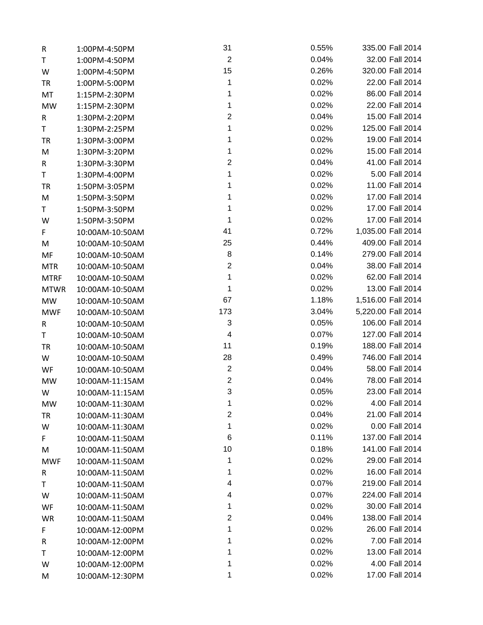| R           | 1:00PM-4:50PM   | 31                      | 0.55% | 335.00 Fall 2014   |
|-------------|-----------------|-------------------------|-------|--------------------|
| T.          | 1:00PM-4:50PM   | $\overline{2}$          | 0.04% | 32.00 Fall 2014    |
| W           | 1:00PM-4:50PM   | 15                      | 0.26% | 320.00 Fall 2014   |
| TR          | 1:00PM-5:00PM   | 1                       | 0.02% | 22.00 Fall 2014    |
| MT          | 1:15PM-2:30PM   | 1                       | 0.02% | 86.00 Fall 2014    |
| <b>MW</b>   | 1:15PM-2:30PM   | 1                       | 0.02% | 22.00 Fall 2014    |
| R           | 1:30PM-2:20PM   | $\overline{2}$          | 0.04% | 15.00 Fall 2014    |
| T           | 1:30PM-2:25PM   | 1                       | 0.02% | 125.00 Fall 2014   |
| <b>TR</b>   | 1:30PM-3:00PM   | 1                       | 0.02% | 19.00 Fall 2014    |
| M           | 1:30PM-3:20PM   | 1                       | 0.02% | 15.00 Fall 2014    |
| R           | 1:30PM-3:30PM   | $\overline{c}$          | 0.04% | 41.00 Fall 2014    |
| T           | 1:30PM-4:00PM   | 1                       | 0.02% | 5.00 Fall 2014     |
| <b>TR</b>   | 1:50PM-3:05PM   | 1                       | 0.02% | 11.00 Fall 2014    |
| M           | 1:50PM-3:50PM   | 1                       | 0.02% | 17.00 Fall 2014    |
| T           | 1:50PM-3:50PM   | 1                       | 0.02% | 17.00 Fall 2014    |
| W           | 1:50PM-3:50PM   | 1                       | 0.02% | 17.00 Fall 2014    |
| F.          | 10:00AM-10:50AM | 41                      | 0.72% | 1,035.00 Fall 2014 |
| M           | 10:00AM-10:50AM | 25                      | 0.44% | 409.00 Fall 2014   |
| MF          | 10:00AM-10:50AM | 8                       | 0.14% | 279.00 Fall 2014   |
| <b>MTR</b>  | 10:00AM-10:50AM | $\overline{2}$          | 0.04% | 38.00 Fall 2014    |
| <b>MTRF</b> | 10:00AM-10:50AM | $\mathbf{1}$            | 0.02% | 62.00 Fall 2014    |
| <b>MTWR</b> | 10:00AM-10:50AM | 1                       | 0.02% | 13.00 Fall 2014    |
| <b>MW</b>   | 10:00AM-10:50AM | 67                      | 1.18% | 1,516.00 Fall 2014 |
| <b>MWF</b>  | 10:00AM-10:50AM | 173                     | 3.04% | 5,220.00 Fall 2014 |
| R           | 10:00AM-10:50AM | $\sqrt{3}$              | 0.05% | 106.00 Fall 2014   |
| T           | 10:00AM-10:50AM | $\overline{\mathbf{4}}$ | 0.07% | 127.00 Fall 2014   |
| TR          | 10:00AM-10:50AM | 11                      | 0.19% | 188.00 Fall 2014   |
| W           | 10:00AM-10:50AM | 28                      | 0.49% | 746.00 Fall 2014   |
| WF          | 10:00AM-10:50AM | $\overline{2}$          | 0.04% | 58.00 Fall 2014    |
| <b>MW</b>   | 10:00AM-11:15AM | $\overline{2}$          | 0.04% | 78.00 Fall 2014    |
| W           | 10:00AM-11:15AM | 3                       | 0.05% | 23.00 Fall 2014    |
| MW          | 10:00AM-11:30AM | 1                       | 0.02% | 4.00 Fall 2014     |
| TR          | 10:00AM-11:30AM | $\overline{\mathbf{c}}$ | 0.04% | 21.00 Fall 2014    |
| W           | 10:00AM-11:30AM | 1                       | 0.02% | 0.00 Fall 2014     |
| F           | 10:00AM-11:50AM | 6                       | 0.11% | 137.00 Fall 2014   |
| M           | 10:00AM-11:50AM | 10                      | 0.18% | 141.00 Fall 2014   |
| <b>MWF</b>  | 10:00AM-11:50AM | 1                       | 0.02% | 29.00 Fall 2014    |
| R           | 10:00AM-11:50AM | 1                       | 0.02% | 16.00 Fall 2014    |
| T           | 10:00AM-11:50AM | 4                       | 0.07% | 219.00 Fall 2014   |
| W           | 10:00AM-11:50AM | 4                       | 0.07% | 224.00 Fall 2014   |
| WF          | 10:00AM-11:50AM | 1                       | 0.02% | 30.00 Fall 2014    |
| WR          | 10:00AM-11:50AM | $\overline{\mathbf{c}}$ | 0.04% | 138.00 Fall 2014   |
| F           | 10:00AM-12:00PM | 1                       | 0.02% | 26.00 Fall 2014    |
| R           | 10:00AM-12:00PM | 1                       | 0.02% | 7.00 Fall 2014     |
| Τ           | 10:00AM-12:00PM | 1                       | 0.02% | 13.00 Fall 2014    |
| W           | 10:00AM-12:00PM |                         | 0.02% | 4.00 Fall 2014     |
| M           | 10:00AM-12:30PM | 1                       | 0.02% | 17.00 Fall 2014    |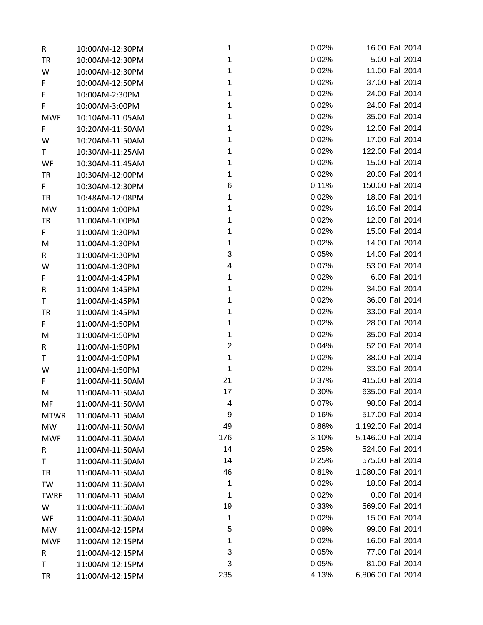| R           | 10:00AM-12:30PM | 1            | 0.02% | 16.00 Fall 2014    |
|-------------|-----------------|--------------|-------|--------------------|
| <b>TR</b>   | 10:00AM-12:30PM | 1            | 0.02% | 5.00 Fall 2014     |
| W           | 10:00AM-12:30PM | 1            | 0.02% | 11.00 Fall 2014    |
| F           | 10:00AM-12:50PM | 1            | 0.02% | 37.00 Fall 2014    |
| F           | 10:00AM-2:30PM  | 1            | 0.02% | 24.00 Fall 2014    |
| F           | 10:00AM-3:00PM  |              | 0.02% | 24.00 Fall 2014    |
| <b>MWF</b>  | 10:10AM-11:05AM | 1            | 0.02% | 35.00 Fall 2014    |
| F           | 10:20AM-11:50AM |              | 0.02% | 12.00 Fall 2014    |
| W           | 10:20AM-11:50AM | 1            | 0.02% | 17.00 Fall 2014    |
| Τ           | 10:30AM-11:25AM |              | 0.02% | 122.00 Fall 2014   |
| WF          | 10:30AM-11:45AM |              | 0.02% | 15.00 Fall 2014    |
| <b>TR</b>   | 10:30AM-12:00PM | 1            | 0.02% | 20.00 Fall 2014    |
| F.          | 10:30AM-12:30PM | 6            | 0.11% | 150.00 Fall 2014   |
| TR          | 10:48AM-12:08PM | 1            | 0.02% | 18.00 Fall 2014    |
| <b>MW</b>   | 11:00AM-1:00PM  | 1            | 0.02% | 16.00 Fall 2014    |
| <b>TR</b>   | 11:00AM-1:00PM  | 1            | 0.02% | 12.00 Fall 2014    |
| F           | 11:00AM-1:30PM  | 1            | 0.02% | 15.00 Fall 2014    |
| M           | 11:00AM-1:30PM  | 1            | 0.02% | 14.00 Fall 2014    |
| R           | 11:00AM-1:30PM  | 3            | 0.05% | 14.00 Fall 2014    |
| W           | 11:00AM-1:30PM  | 4            | 0.07% | 53.00 Fall 2014    |
| F           | 11:00AM-1:45PM  | 1            | 0.02% | 6.00 Fall 2014     |
| R           | 11:00AM-1:45PM  | 1            | 0.02% | 34.00 Fall 2014    |
| Τ           | 11:00AM-1:45PM  | 1            | 0.02% | 36.00 Fall 2014    |
| <b>TR</b>   | 11:00AM-1:45PM  |              | 0.02% | 33.00 Fall 2014    |
| F           | 11:00AM-1:50PM  |              | 0.02% | 28.00 Fall 2014    |
| M           | 11:00AM-1:50PM  | 1            | 0.02% | 35.00 Fall 2014    |
| R           | 11:00AM-1:50PM  | $\mathbf{2}$ | 0.04% | 52.00 Fall 2014    |
| Τ           | 11:00AM-1:50PM  | 1            | 0.02% | 38.00 Fall 2014    |
| W           | 11:00AM-1:50PM  | 1            | 0.02% | 33.00 Fall 2014    |
| F           | 11:00AM-11:50AM | 21           | 0.37% | 415.00 Fall 2014   |
| M           | 11:00AM-11:50AM | 17           | 0.30% | 635.00 Fall 2014   |
| MF          | 11:00AM-11:50AM | 4            | 0.07% | 98.00 Fall 2014    |
| <b>MTWR</b> | 11:00AM-11:50AM | 9            | 0.16% | 517.00 Fall 2014   |
| MW          | 11:00AM-11:50AM | 49           | 0.86% | 1,192.00 Fall 2014 |
| <b>MWF</b>  | 11:00AM-11:50AM | 176          | 3.10% | 5,146.00 Fall 2014 |
| R           | 11:00AM-11:50AM | 14           | 0.25% | 524.00 Fall 2014   |
| Τ           | 11:00AM-11:50AM | 14           | 0.25% | 575.00 Fall 2014   |
| TR          | 11:00AM-11:50AM | 46           | 0.81% | 1,080.00 Fall 2014 |
| TW          | 11:00AM-11:50AM | 1            | 0.02% | 18.00 Fall 2014    |
| <b>TWRF</b> | 11:00AM-11:50AM | 1            | 0.02% | 0.00 Fall 2014     |
| W           | 11:00AM-11:50AM | 19           | 0.33% | 569.00 Fall 2014   |
| WF          | 11:00AM-11:50AM | 1            | 0.02% | 15.00 Fall 2014    |
| MW          | 11:00AM-12:15PM | 5            | 0.09% | 99.00 Fall 2014    |
| <b>MWF</b>  | 11:00AM-12:15PM | 1            | 0.02% | 16.00 Fall 2014    |
| R           | 11:00AM-12:15PM | 3            | 0.05% | 77.00 Fall 2014    |
| Τ           | 11:00AM-12:15PM | 3            | 0.05% | 81.00 Fall 2014    |
| TR          | 11:00AM-12:15PM | 235          | 4.13% | 6,806.00 Fall 2014 |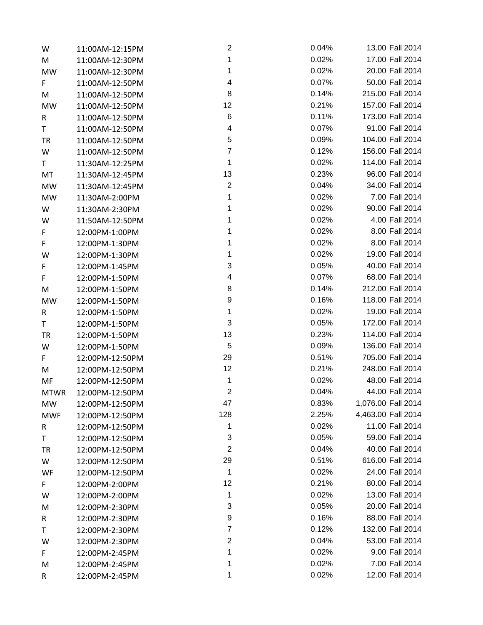| W           | 11:00AM-12:15PM | $\overline{\mathbf{c}}$ | 0.04% | 13.00 Fall 2014    |
|-------------|-----------------|-------------------------|-------|--------------------|
| M           | 11:00AM-12:30PM | 1                       | 0.02% | 17.00 Fall 2014    |
| MW          | 11:00AM-12:30PM | 1                       | 0.02% | 20.00 Fall 2014    |
| F           | 11:00AM-12:50PM | 4                       | 0.07% | 50.00 Fall 2014    |
| M           | 11:00AM-12:50PM | 8                       | 0.14% | 215.00 Fall 2014   |
| <b>MW</b>   | 11:00AM-12:50PM | 12                      | 0.21% | 157.00 Fall 2014   |
| R           | 11:00AM-12:50PM | $\,6$                   | 0.11% | 173.00 Fall 2014   |
| T.          | 11:00AM-12:50PM | 4                       | 0.07% | 91.00 Fall 2014    |
| <b>TR</b>   | 11:00AM-12:50PM | 5                       | 0.09% | 104.00 Fall 2014   |
| W           | 11:00AM-12:50PM | $\overline{7}$          | 0.12% | 156.00 Fall 2014   |
| T.          | 11:30AM-12:25PM | 1                       | 0.02% | 114.00 Fall 2014   |
| MT          | 11:30AM-12:45PM | 13                      | 0.23% | 96.00 Fall 2014    |
| MW          | 11:30AM-12:45PM | $\boldsymbol{2}$        | 0.04% | 34.00 Fall 2014    |
| MW          | 11:30AM-2:00PM  | 1                       | 0.02% | 7.00 Fall 2014     |
| W           | 11:30AM-2:30PM  | 1                       | 0.02% | 90.00 Fall 2014    |
| W           | 11:50AM-12:50PM | 1                       | 0.02% | 4.00 Fall 2014     |
| F           | 12:00PM-1:00PM  | 1                       | 0.02% | 8.00 Fall 2014     |
| F           | 12:00PM-1:30PM  | 1                       | 0.02% | 8.00 Fall 2014     |
| W           | 12:00PM-1:30PM  | 1                       | 0.02% | 19.00 Fall 2014    |
| F           | 12:00PM-1:45PM  | 3                       | 0.05% | 40.00 Fall 2014    |
| F           | 12:00PM-1:50PM  | 4                       | 0.07% | 68.00 Fall 2014    |
| M           | 12:00PM-1:50PM  | 8                       | 0.14% | 212.00 Fall 2014   |
| MW          | 12:00PM-1:50PM  | $\boldsymbol{9}$        | 0.16% | 118.00 Fall 2014   |
| R           | 12:00PM-1:50PM  | 1                       | 0.02% | 19.00 Fall 2014    |
| Τ           | 12:00PM-1:50PM  | 3                       | 0.05% | 172.00 Fall 2014   |
| <b>TR</b>   | 12:00PM-1:50PM  | 13                      | 0.23% | 114.00 Fall 2014   |
| W           | 12:00PM-1:50PM  | 5                       | 0.09% | 136.00 Fall 2014   |
| F.          | 12:00PM-12:50PM | 29                      | 0.51% | 705.00 Fall 2014   |
| M           | 12:00PM-12:50PM | 12                      | 0.21% | 248.00 Fall 2014   |
| MF          | 12:00PM-12:50PM | $\mathbf{1}$            | 0.02% | 48.00 Fall 2014    |
| <b>MTWR</b> | 12:00PM-12:50PM | $\overline{2}$          | 0.04% | 44.00 Fall 2014    |
| MW          | 12:00PM-12:50PM | 47                      | 0.83% | 1,076.00 Fall 2014 |
| <b>MWF</b>  | 12:00PM-12:50PM | 128                     | 2.25% | 4,463.00 Fall 2014 |
| R           | 12:00PM-12:50PM | 1                       | 0.02% | 11.00 Fall 2014    |
| T           | 12:00PM-12:50PM | 3                       | 0.05% | 59.00 Fall 2014    |
| TR          | 12:00PM-12:50PM | $\overline{2}$          | 0.04% | 40.00 Fall 2014    |
| W           | 12:00PM-12:50PM | 29                      | 0.51% | 616.00 Fall 2014   |
| WF          | 12:00PM-12:50PM | $\mathbf{1}$            | 0.02% | 24.00 Fall 2014    |
| F           | 12:00PM-2:00PM  | 12                      | 0.21% | 80.00 Fall 2014    |
| W           | 12:00PM-2:00PM  | 1                       | 0.02% | 13.00 Fall 2014    |
| M           | 12:00PM-2:30PM  | 3                       | 0.05% | 20.00 Fall 2014    |
| R           | 12:00PM-2:30PM  | 9                       | 0.16% | 88.00 Fall 2014    |
| Τ           | 12:00PM-2:30PM  | $\overline{7}$          | 0.12% | 132.00 Fall 2014   |
| W           | 12:00PM-2:30PM  | $\overline{\mathbf{c}}$ | 0.04% | 53.00 Fall 2014    |
| F           | 12:00PM-2:45PM  | 1                       | 0.02% | 9.00 Fall 2014     |
| M           | 12:00PM-2:45PM  | 1                       | 0.02% | 7.00 Fall 2014     |
| R           | 12:00PM-2:45PM  | 1                       | 0.02% | 12.00 Fall 2014    |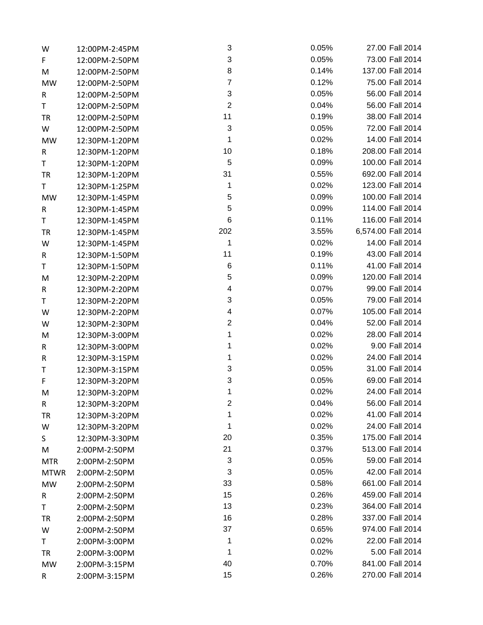| W           | 12:00PM-2:45PM | 3                         | 0.05% | 27.00 Fall 2014    |
|-------------|----------------|---------------------------|-------|--------------------|
| F.          | 12:00PM-2:50PM | $\sqrt{3}$                | 0.05% | 73.00 Fall 2014    |
| M           | 12:00PM-2:50PM | 8                         | 0.14% | 137.00 Fall 2014   |
| <b>MW</b>   | 12:00PM-2:50PM | $\overline{7}$            | 0.12% | 75.00 Fall 2014    |
| R           | 12:00PM-2:50PM | $\ensuremath{\mathsf{3}}$ | 0.05% | 56.00 Fall 2014    |
| T.          | 12:00PM-2:50PM | $\overline{2}$            | 0.04% | 56.00 Fall 2014    |
| TR          | 12:00PM-2:50PM | 11                        | 0.19% | 38.00 Fall 2014    |
| W           | 12:00PM-2:50PM | $\ensuremath{\mathsf{3}}$ | 0.05% | 72.00 Fall 2014    |
| <b>MW</b>   | 12:30PM-1:20PM | 1                         | 0.02% | 14.00 Fall 2014    |
| R           | 12:30PM-1:20PM | 10                        | 0.18% | 208.00 Fall 2014   |
| T.          | 12:30PM-1:20PM | 5                         | 0.09% | 100.00 Fall 2014   |
| TR          | 12:30PM-1:20PM | 31                        | 0.55% | 692.00 Fall 2014   |
| T.          | 12:30PM-1:25PM | 1                         | 0.02% | 123.00 Fall 2014   |
| <b>MW</b>   | 12:30PM-1:45PM | 5                         | 0.09% | 100.00 Fall 2014   |
| R           | 12:30PM-1:45PM | 5                         | 0.09% | 114.00 Fall 2014   |
| T           | 12:30PM-1:45PM | 6                         | 0.11% | 116.00 Fall 2014   |
| TR          | 12:30PM-1:45PM | 202                       | 3.55% | 6,574.00 Fall 2014 |
| W           | 12:30PM-1:45PM | 1                         | 0.02% | 14.00 Fall 2014    |
| R           | 12:30PM-1:50PM | 11                        | 0.19% | 43.00 Fall 2014    |
| T           | 12:30PM-1:50PM | 6                         | 0.11% | 41.00 Fall 2014    |
| M           | 12:30PM-2:20PM | 5                         | 0.09% | 120.00 Fall 2014   |
| R           | 12:30PM-2:20PM | 4                         | 0.07% | 99.00 Fall 2014    |
| T           | 12:30PM-2:20PM | $\ensuremath{\mathsf{3}}$ | 0.05% | 79.00 Fall 2014    |
| W           | 12:30PM-2:20PM | 4                         | 0.07% | 105.00 Fall 2014   |
| W           | 12:30PM-2:30PM | $\overline{\mathbf{c}}$   | 0.04% | 52.00 Fall 2014    |
| M           | 12:30PM-3:00PM | 1                         | 0.02% | 28.00 Fall 2014    |
| R           | 12:30PM-3:00PM | 1                         | 0.02% | 9.00 Fall 2014     |
| R           | 12:30PM-3:15PM | 1                         | 0.02% | 24.00 Fall 2014    |
| T           | 12:30PM-3:15PM | 3                         | 0.05% | 31.00 Fall 2014    |
| F           | 12:30PM-3:20PM | $\ensuremath{\mathsf{3}}$ | 0.05% | 69.00 Fall 2014    |
| М           | 12:30PM-3:20PM | 1                         | 0.02% | 24.00 Fall 2014    |
| R           | 12:30PM-3:20PM | $\overline{2}$            | 0.04% | 56.00 Fall 2014    |
| <b>TR</b>   | 12:30PM-3:20PM | 1                         | 0.02% | 41.00 Fall 2014    |
| W           | 12:30PM-3:20PM | 1                         | 0.02% | 24.00 Fall 2014    |
| S           | 12:30PM-3:30PM | 20                        | 0.35% | 175.00 Fall 2014   |
| M           | 2:00PM-2:50PM  | 21                        | 0.37% | 513.00 Fall 2014   |
| <b>MTR</b>  | 2:00PM-2:50PM  | 3                         | 0.05% | 59.00 Fall 2014    |
| <b>MTWR</b> | 2:00PM-2:50PM  | 3                         | 0.05% | 42.00 Fall 2014    |
| <b>MW</b>   | 2:00PM-2:50PM  | 33                        | 0.58% | 661.00 Fall 2014   |
| R           | 2:00PM-2:50PM  | 15                        | 0.26% | 459.00 Fall 2014   |
| Τ           | 2:00PM-2:50PM  | 13                        | 0.23% | 364.00 Fall 2014   |
| <b>TR</b>   | 2:00PM-2:50PM  | 16                        | 0.28% | 337.00 Fall 2014   |
| W           | 2:00PM-2:50PM  | 37                        | 0.65% | 974.00 Fall 2014   |
| T           | 2:00PM-3:00PM  | 1                         | 0.02% | 22.00 Fall 2014    |
| <b>TR</b>   | 2:00PM-3:00PM  | 1                         | 0.02% | 5.00 Fall 2014     |
| MW          | 2:00PM-3:15PM  | 40                        | 0.70% | 841.00 Fall 2014   |
| R           | 2:00PM-3:15PM  | 15                        | 0.26% | 270.00 Fall 2014   |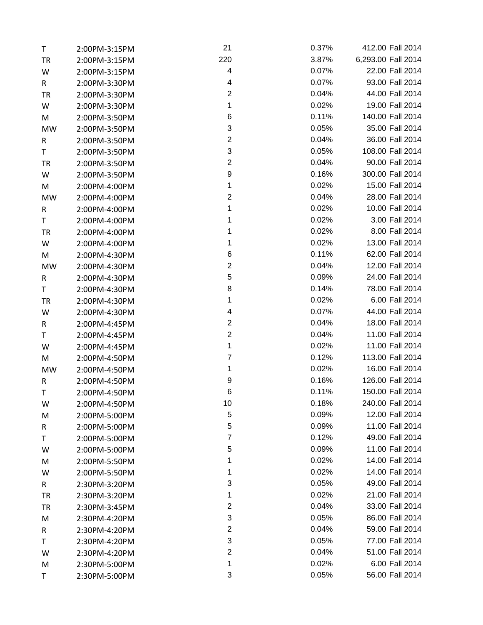| T         | 2:00PM-3:15PM | 21                      | 0.37% | 412.00 Fall 2014   |
|-----------|---------------|-------------------------|-------|--------------------|
| <b>TR</b> | 2:00PM-3:15PM | 220                     | 3.87% | 6,293.00 Fall 2014 |
| W         | 2:00PM-3:15PM | 4                       | 0.07% | 22.00 Fall 2014    |
| R         | 2:00PM-3:30PM | 4                       | 0.07% | 93.00 Fall 2014    |
| TR        | 2:00PM-3:30PM | $\mathbf{2}$            | 0.04% | 44.00 Fall 2014    |
| W         | 2:00PM-3:30PM | 1                       | 0.02% | 19.00 Fall 2014    |
| M         | 2:00PM-3:50PM | 6                       | 0.11% | 140.00 Fall 2014   |
| <b>MW</b> | 2:00PM-3:50PM | 3                       | 0.05% | 35.00 Fall 2014    |
| R         | 2:00PM-3:50PM | $\overline{c}$          | 0.04% | 36.00 Fall 2014    |
| T         | 2:00PM-3:50PM | 3                       | 0.05% | 108.00 Fall 2014   |
| <b>TR</b> | 2:00PM-3:50PM | $\overline{2}$          | 0.04% | 90.00 Fall 2014    |
| W         | 2:00PM-3:50PM | $\boldsymbol{9}$        | 0.16% | 300.00 Fall 2014   |
| M         | 2:00PM-4:00PM | 1                       | 0.02% | 15.00 Fall 2014    |
| MW        | 2:00PM-4:00PM | $\boldsymbol{2}$        | 0.04% | 28.00 Fall 2014    |
| R         | 2:00PM-4:00PM | 1                       | 0.02% | 10.00 Fall 2014    |
| T         | 2:00PM-4:00PM | 1                       | 0.02% | 3.00 Fall 2014     |
| TR        | 2:00PM-4:00PM | 1                       | 0.02% | 8.00 Fall 2014     |
| W         | 2:00PM-4:00PM | 1                       | 0.02% | 13.00 Fall 2014    |
| M         | 2:00PM-4:30PM | 6                       | 0.11% | 62.00 Fall 2014    |
| <b>MW</b> | 2:00PM-4:30PM | $\overline{c}$          | 0.04% | 12.00 Fall 2014    |
| R         | 2:00PM-4:30PM | 5                       | 0.09% | 24.00 Fall 2014    |
| T         | 2:00PM-4:30PM | 8                       | 0.14% | 78.00 Fall 2014    |
| <b>TR</b> | 2:00PM-4:30PM | 1                       | 0.02% | 6.00 Fall 2014     |
| W         | 2:00PM-4:30PM | 4                       | 0.07% | 44.00 Fall 2014    |
| R         | 2:00PM-4:45PM | $\overline{\mathbf{c}}$ | 0.04% | 18.00 Fall 2014    |
| T         | 2:00PM-4:45PM | $\boldsymbol{2}$        | 0.04% | 11.00 Fall 2014    |
| W         | 2:00PM-4:45PM | 1                       | 0.02% | 11.00 Fall 2014    |
| M         | 2:00PM-4:50PM | $\overline{7}$          | 0.12% | 113.00 Fall 2014   |
| MW        | 2:00PM-4:50PM | 1                       | 0.02% | 16.00 Fall 2014    |
| R         | 2:00PM-4:50PM | 9                       | 0.16% | 126.00 Fall 2014   |
| Τ         | 2:00PM-4:50PM | 6                       | 0.11% | 150.00 Fall 2014   |
| W         | 2:00PM-4:50PM | 10                      | 0.18% | 240.00 Fall 2014   |
| M         | 2:00PM-5:00PM | 5                       | 0.09% | 12.00 Fall 2014    |
| R         | 2:00PM-5:00PM | 5                       | 0.09% | 11.00 Fall 2014    |
| Τ         | 2:00PM-5:00PM | $\overline{7}$          | 0.12% | 49.00 Fall 2014    |
| W         | 2:00PM-5:00PM | 5                       | 0.09% | 11.00 Fall 2014    |
| M         | 2:00PM-5:50PM | 1                       | 0.02% | 14.00 Fall 2014    |
| W         | 2:00PM-5:50PM | 1                       | 0.02% | 14.00 Fall 2014    |
| R         | 2:30PM-3:20PM | 3                       | 0.05% | 49.00 Fall 2014    |
| TR        | 2:30PM-3:20PM | 1                       | 0.02% | 21.00 Fall 2014    |
| <b>TR</b> | 2:30PM-3:45PM | $\overline{\mathbf{c}}$ | 0.04% | 33.00 Fall 2014    |
| M         | 2:30PM-4:20PM | 3                       | 0.05% | 86.00 Fall 2014    |
| R         | 2:30PM-4:20PM | $\overline{c}$          | 0.04% | 59.00 Fall 2014    |
| Τ         | 2:30PM-4:20PM | 3                       | 0.05% | 77.00 Fall 2014    |
| W         | 2:30PM-4:20PM | $\boldsymbol{2}$        | 0.04% | 51.00 Fall 2014    |
| M         | 2:30PM-5:00PM | 1                       | 0.02% | 6.00 Fall 2014     |
| T         | 2:30PM-5:00PM | 3                       | 0.05% | 56.00 Fall 2014    |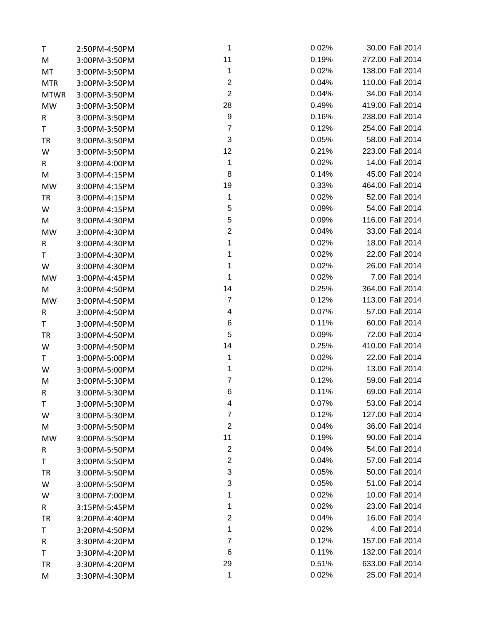| Τ           | 2:50PM-4:50PM | $\mathbf{1}$            | 0.02% | 30.00 Fall 2014  |
|-------------|---------------|-------------------------|-------|------------------|
| M           | 3:00PM-3:50PM | 11                      | 0.19% | 272.00 Fall 2014 |
| MT          | 3:00PM-3:50PM | $\mathbf{1}$            | 0.02% | 138.00 Fall 2014 |
| <b>MTR</b>  | 3:00PM-3:50PM | $\boldsymbol{2}$        | 0.04% | 110.00 Fall 2014 |
| <b>MTWR</b> | 3:00PM-3:50PM | $\overline{2}$          | 0.04% | 34.00 Fall 2014  |
| <b>MW</b>   | 3:00PM-3:50PM | 28                      | 0.49% | 419.00 Fall 2014 |
| R           | 3:00PM-3:50PM | 9                       | 0.16% | 238.00 Fall 2014 |
| T           | 3:00PM-3:50PM | $\overline{7}$          | 0.12% | 254.00 Fall 2014 |
| <b>TR</b>   | 3:00PM-3:50PM | 3                       | 0.05% | 58.00 Fall 2014  |
| W           | 3:00PM-3:50PM | 12                      | 0.21% | 223.00 Fall 2014 |
| R           | 3:00PM-4:00PM | $\mathbf{1}$            | 0.02% | 14.00 Fall 2014  |
| M           | 3:00PM-4:15PM | 8                       | 0.14% | 45.00 Fall 2014  |
| MW          | 3:00PM-4:15PM | 19                      | 0.33% | 464.00 Fall 2014 |
| <b>TR</b>   | 3:00PM-4:15PM | 1                       | 0.02% | 52.00 Fall 2014  |
| W           | 3:00PM-4:15PM | 5                       | 0.09% | 54.00 Fall 2014  |
| M           | 3:00PM-4:30PM | 5                       | 0.09% | 116.00 Fall 2014 |
| MW          | 3:00PM-4:30PM | $\boldsymbol{2}$        | 0.04% | 33.00 Fall 2014  |
| R           | 3:00PM-4:30PM | 1                       | 0.02% | 18.00 Fall 2014  |
| T           | 3:00PM-4:30PM | 1                       | 0.02% | 22.00 Fall 2014  |
| W           | 3:00PM-4:30PM | 1                       | 0.02% | 26.00 Fall 2014  |
| MW          | 3:00PM-4:45PM | 1                       | 0.02% | 7.00 Fall 2014   |
| M           | 3:00PM-4:50PM | 14                      | 0.25% | 364.00 Fall 2014 |
| <b>MW</b>   | 3:00PM-4:50PM | $\boldsymbol{7}$        | 0.12% | 113.00 Fall 2014 |
| R           | 3:00PM-4:50PM | 4                       | 0.07% | 57.00 Fall 2014  |
| T.          | 3:00PM-4:50PM | 6                       | 0.11% | 60.00 Fall 2014  |
| <b>TR</b>   | 3:00PM-4:50PM | 5                       | 0.09% | 72.00 Fall 2014  |
| W           | 3:00PM-4:50PM | 14                      | 0.25% | 410.00 Fall 2014 |
| T.          | 3:00PM-5:00PM | 1                       | 0.02% | 22.00 Fall 2014  |
| W           | 3:00PM-5:00PM | 1                       | 0.02% | 13.00 Fall 2014  |
| M           | 3:00PM-5:30PM | $\overline{7}$          | 0.12% | 59.00 Fall 2014  |
| R           | 3:00PM-5:30PM | 6                       | 0.11% | 69.00 Fall 2014  |
| Τ           | 3:00PM-5:30PM | 4                       | 0.07% | 53.00 Fall 2014  |
| W           | 3:00PM-5:30PM | $\overline{7}$          | 0.12% | 127.00 Fall 2014 |
| M           | 3:00PM-5:50PM | $\boldsymbol{2}$        | 0.04% | 36.00 Fall 2014  |
| <b>MW</b>   | 3:00PM-5:50PM | 11                      | 0.19% | 90.00 Fall 2014  |
| R           | 3:00PM-5:50PM | $\boldsymbol{2}$        | 0.04% | 54.00 Fall 2014  |
| Τ           | 3:00PM-5:50PM | $\boldsymbol{2}$        | 0.04% | 57.00 Fall 2014  |
| TR          | 3:00PM-5:50PM | 3                       | 0.05% | 50.00 Fall 2014  |
| W           | 3:00PM-5:50PM | 3                       | 0.05% | 51.00 Fall 2014  |
| W           | 3:00PM-7:00PM | 1                       | 0.02% | 10.00 Fall 2014  |
| R           | 3:15PM-5:45PM | 1                       | 0.02% | 23.00 Fall 2014  |
| <b>TR</b>   | 3:20PM-4:40PM | $\overline{\mathbf{c}}$ | 0.04% | 16.00 Fall 2014  |
| Τ           | 3:20PM-4:50PM | 1                       | 0.02% | 4.00 Fall 2014   |
| R           | 3:30PM-4:20PM | $\overline{7}$          | 0.12% | 157.00 Fall 2014 |
| Τ           | 3:30PM-4:20PM | 6                       | 0.11% | 132.00 Fall 2014 |
| <b>TR</b>   | 3:30PM-4:20PM | 29                      | 0.51% | 633.00 Fall 2014 |
| M           | 3:30PM-4:30PM | 1                       | 0.02% | 25.00 Fall 2014  |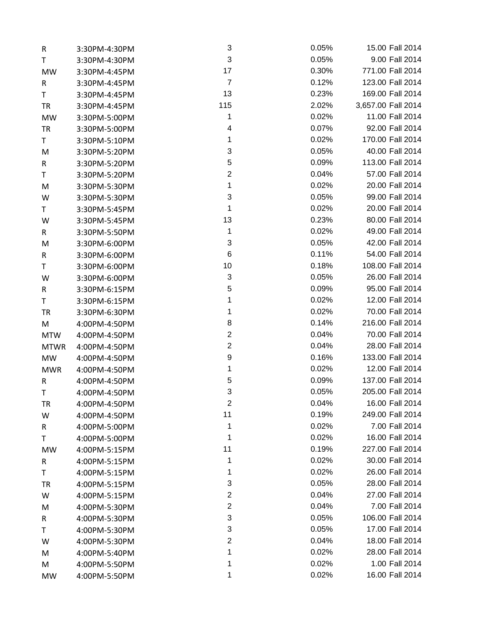| R           | 3:30PM-4:30PM | 3                       | 0.05% | 15.00 Fall 2014    |
|-------------|---------------|-------------------------|-------|--------------------|
| T.          | 3:30PM-4:30PM | $\sqrt{3}$              | 0.05% | 9.00 Fall 2014     |
| MW          | 3:30PM-4:45PM | 17                      | 0.30% | 771.00 Fall 2014   |
| R           | 3:30PM-4:45PM | $\overline{7}$          | 0.12% | 123.00 Fall 2014   |
| T           | 3:30PM-4:45PM | 13                      | 0.23% | 169.00 Fall 2014   |
| TR          | 3:30PM-4:45PM | 115                     | 2.02% | 3,657.00 Fall 2014 |
| <b>MW</b>   | 3:30PM-5:00PM | 1                       | 0.02% | 11.00 Fall 2014    |
| TR          | 3:30PM-5:00PM | 4                       | 0.07% | 92.00 Fall 2014    |
| T.          | 3:30PM-5:10PM | 1                       | 0.02% | 170.00 Fall 2014   |
| M           | 3:30PM-5:20PM | 3                       | 0.05% | 40.00 Fall 2014    |
| R           | 3:30PM-5:20PM | 5                       | 0.09% | 113.00 Fall 2014   |
| T           | 3:30PM-5:20PM | $\overline{2}$          | 0.04% | 57.00 Fall 2014    |
| M           | 3:30PM-5:30PM | $\mathbf{1}$            | 0.02% | 20.00 Fall 2014    |
| W           | 3:30PM-5:30PM | 3                       | 0.05% | 99.00 Fall 2014    |
| T.          | 3:30PM-5:45PM | 1                       | 0.02% | 20.00 Fall 2014    |
| W           | 3:30PM-5:45PM | 13                      | 0.23% | 80.00 Fall 2014    |
| R           | 3:30PM-5:50PM | 1                       | 0.02% | 49.00 Fall 2014    |
| M           | 3:30PM-6:00PM | $\sqrt{3}$              | 0.05% | 42.00 Fall 2014    |
| R           | 3:30PM-6:00PM | $\,6$                   | 0.11% | 54.00 Fall 2014    |
| T.          | 3:30PM-6:00PM | 10                      | 0.18% | 108.00 Fall 2014   |
| W           | 3:30PM-6:00PM | $\sqrt{3}$              | 0.05% | 26.00 Fall 2014    |
| R           | 3:30PM-6:15PM | 5                       | 0.09% | 95.00 Fall 2014    |
| T           | 3:30PM-6:15PM | 1                       | 0.02% | 12.00 Fall 2014    |
| TR          | 3:30PM-6:30PM | 1                       | 0.02% | 70.00 Fall 2014    |
| M           | 4:00PM-4:50PM | 8                       | 0.14% | 216.00 Fall 2014   |
| <b>MTW</b>  | 4:00PM-4:50PM | $\overline{\mathbf{c}}$ | 0.04% | 70.00 Fall 2014    |
| <b>MTWR</b> | 4:00PM-4:50PM | $\boldsymbol{2}$        | 0.04% | 28.00 Fall 2014    |
| <b>MW</b>   | 4:00PM-4:50PM | $\boldsymbol{9}$        | 0.16% | 133.00 Fall 2014   |
| <b>MWR</b>  | 4:00PM-4:50PM | 1                       | 0.02% | 12.00 Fall 2014    |
| R           | 4:00PM-4:50PM | 5                       | 0.09% | 137.00 Fall 2014   |
| T           | 4:00PM-4:50PM | 3                       | 0.05% | 205.00 Fall 2014   |
| TR          | 4:00PM-4:50PM | $\overline{2}$          | 0.04% | 16.00 Fall 2014    |
| W           | 4:00PM-4:50PM | 11                      | 0.19% | 249.00 Fall 2014   |
| R           | 4:00PM-5:00PM | 1                       | 0.02% | 7.00 Fall 2014     |
| Τ           | 4:00PM-5:00PM | 1                       | 0.02% | 16.00 Fall 2014    |
| MW          | 4:00PM-5:15PM | 11                      | 0.19% | 227.00 Fall 2014   |
| R           | 4:00PM-5:15PM | 1                       | 0.02% | 30.00 Fall 2014    |
| T           | 4:00PM-5:15PM | 1                       | 0.02% | 26.00 Fall 2014    |
| <b>TR</b>   | 4:00PM-5:15PM | 3                       | 0.05% | 28.00 Fall 2014    |
| W           | 4:00PM-5:15PM | $\overline{\mathbf{c}}$ | 0.04% | 27.00 Fall 2014    |
| M           | 4:00PM-5:30PM | $\overline{c}$          | 0.04% | 7.00 Fall 2014     |
| R           | 4:00PM-5:30PM | 3                       | 0.05% | 106.00 Fall 2014   |
| Τ           | 4:00PM-5:30PM | 3                       | 0.05% | 17.00 Fall 2014    |
| W           | 4:00PM-5:30PM | $\mathbf{2}$            | 0.04% | 18.00 Fall 2014    |
| M           | 4:00PM-5:40PM | 1                       | 0.02% | 28.00 Fall 2014    |
| M           | 4:00PM-5:50PM | 1                       | 0.02% | 1.00 Fall 2014     |
| MW          | 4:00PM-5:50PM | 1                       | 0.02% | 16.00 Fall 2014    |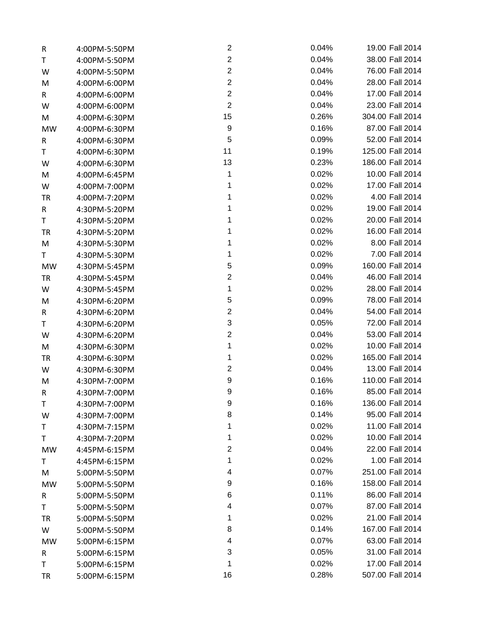| R         | 4:00PM-5:50PM | 2                | 0.04% | 19.00 Fall 2014  |
|-----------|---------------|------------------|-------|------------------|
| T         | 4:00PM-5:50PM | $\overline{2}$   | 0.04% | 38.00 Fall 2014  |
| W         | 4:00PM-5:50PM | $\overline{c}$   | 0.04% | 76.00 Fall 2014  |
| M         | 4:00PM-6:00PM | $\boldsymbol{2}$ | 0.04% | 28.00 Fall 2014  |
| R         | 4:00PM-6:00PM | $\overline{c}$   | 0.04% | 17.00 Fall 2014  |
| W         | 4:00PM-6:00PM | $\overline{2}$   | 0.04% | 23.00 Fall 2014  |
| M         | 4:00PM-6:30PM | 15               | 0.26% | 304.00 Fall 2014 |
| <b>MW</b> | 4:00PM-6:30PM | 9                | 0.16% | 87.00 Fall 2014  |
| R         | 4:00PM-6:30PM | 5                | 0.09% | 52.00 Fall 2014  |
| T         | 4:00PM-6:30PM | 11               | 0.19% | 125.00 Fall 2014 |
| W         | 4:00PM-6:30PM | 13               | 0.23% | 186.00 Fall 2014 |
| M         | 4:00PM-6:45PM | 1                | 0.02% | 10.00 Fall 2014  |
| W         | 4:00PM-7:00PM | 1                | 0.02% | 17.00 Fall 2014  |
| <b>TR</b> | 4:00PM-7:20PM | 1                | 0.02% | 4.00 Fall 2014   |
| R         | 4:30PM-5:20PM | 1                | 0.02% | 19.00 Fall 2014  |
| T         | 4:30PM-5:20PM | 1                | 0.02% | 20.00 Fall 2014  |
| TR        | 4:30PM-5:20PM | 1                | 0.02% | 16.00 Fall 2014  |
| M         | 4:30PM-5:30PM | 1                | 0.02% | 8.00 Fall 2014   |
| T.        | 4:30PM-5:30PM | 1                | 0.02% | 7.00 Fall 2014   |
| MW        | 4:30PM-5:45PM | 5                | 0.09% | 160.00 Fall 2014 |
| <b>TR</b> | 4:30PM-5:45PM | $\boldsymbol{2}$ | 0.04% | 46.00 Fall 2014  |
| W         | 4:30PM-5:45PM | 1                | 0.02% | 28.00 Fall 2014  |
| M         | 4:30PM-6:20PM | 5                | 0.09% | 78.00 Fall 2014  |
| R         | 4:30PM-6:20PM | $\mathbf{2}$     | 0.04% | 54.00 Fall 2014  |
| T         | 4:30PM-6:20PM | $\sqrt{3}$       | 0.05% | 72.00 Fall 2014  |
| W         | 4:30PM-6:20PM | $\boldsymbol{2}$ | 0.04% | 53.00 Fall 2014  |
| M         | 4:30PM-6:30PM | 1                | 0.02% | 10.00 Fall 2014  |
| TR        | 4:30PM-6:30PM | 1                | 0.02% | 165.00 Fall 2014 |
| W         | 4:30PM-6:30PM | $\mathbf{2}$     | 0.04% | 13.00 Fall 2014  |
| M         | 4:30PM-7:00PM | 9                | 0.16% | 110.00 Fall 2014 |
| R         | 4:30PM-7:00PM | 9                | 0.16% | 85.00 Fall 2014  |
| T         | 4:30PM-7:00PM | 9                | 0.16% | 136.00 Fall 2014 |
| W         | 4:30PM-7:00PM | 8                | 0.14% | 95.00 Fall 2014  |
| Τ         | 4:30PM-7:15PM | 1                | 0.02% | 11.00 Fall 2014  |
| Τ         | 4:30PM-7:20PM | 1                | 0.02% | 10.00 Fall 2014  |
| MW        | 4:45PM-6:15PM | $\boldsymbol{2}$ | 0.04% | 22.00 Fall 2014  |
| T         | 4:45PM-6:15PM | 1                | 0.02% | 1.00 Fall 2014   |
| M         | 5:00PM-5:50PM | 4                | 0.07% | 251.00 Fall 2014 |
| MW        | 5:00PM-5:50PM | 9                | 0.16% | 158.00 Fall 2014 |
| R         | 5:00PM-5:50PM | 6                | 0.11% | 86.00 Fall 2014  |
| Τ         | 5:00PM-5:50PM | 4                | 0.07% | 87.00 Fall 2014  |
| <b>TR</b> | 5:00PM-5:50PM | 1                | 0.02% | 21.00 Fall 2014  |
| W         | 5:00PM-5:50PM | 8                | 0.14% | 167.00 Fall 2014 |
| MW        | 5:00PM-6:15PM | 4                | 0.07% | 63.00 Fall 2014  |
| R         | 5:00PM-6:15PM | 3                | 0.05% | 31.00 Fall 2014  |
| T         | 5:00PM-6:15PM | 1                | 0.02% | 17.00 Fall 2014  |
| <b>TR</b> | 5:00PM-6:15PM | 16               | 0.28% | 507.00 Fall 2014 |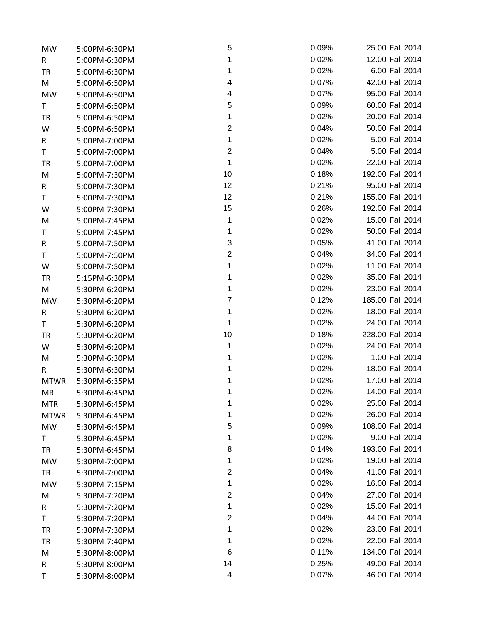| MW          | 5:00PM-6:30PM | 5                       | 0.09% | 25.00 Fall 2014  |
|-------------|---------------|-------------------------|-------|------------------|
| R           | 5:00PM-6:30PM | 1                       | 0.02% | 12.00 Fall 2014  |
| <b>TR</b>   | 5:00PM-6:30PM | 1                       | 0.02% | 6.00 Fall 2014   |
| M           | 5:00PM-6:50PM | 4                       | 0.07% | 42.00 Fall 2014  |
| <b>MW</b>   | 5:00PM-6:50PM | 4                       | 0.07% | 95.00 Fall 2014  |
| T           | 5:00PM-6:50PM | 5                       | 0.09% | 60.00 Fall 2014  |
| <b>TR</b>   | 5:00PM-6:50PM | 1                       | 0.02% | 20.00 Fall 2014  |
| W           | 5:00PM-6:50PM | $\overline{\mathbf{c}}$ | 0.04% | 50.00 Fall 2014  |
| R           | 5:00PM-7:00PM | 1                       | 0.02% | 5.00 Fall 2014   |
| T           | 5:00PM-7:00PM | $\boldsymbol{2}$        | 0.04% | 5.00 Fall 2014   |
| <b>TR</b>   | 5:00PM-7:00PM | 1                       | 0.02% | 22.00 Fall 2014  |
| M           | 5:00PM-7:30PM | 10                      | 0.18% | 192.00 Fall 2014 |
| R           | 5:00PM-7:30PM | 12                      | 0.21% | 95.00 Fall 2014  |
| T           | 5:00PM-7:30PM | 12                      | 0.21% | 155.00 Fall 2014 |
| W           | 5:00PM-7:30PM | 15                      | 0.26% | 192.00 Fall 2014 |
| M           | 5:00PM-7:45PM | 1                       | 0.02% | 15.00 Fall 2014  |
| T           | 5:00PM-7:45PM | 1                       | 0.02% | 50.00 Fall 2014  |
| R           | 5:00PM-7:50PM | 3                       | 0.05% | 41.00 Fall 2014  |
| T           | 5:00PM-7:50PM | $\mathbf{2}$            | 0.04% | 34.00 Fall 2014  |
| W           | 5:00PM-7:50PM | 1                       | 0.02% | 11.00 Fall 2014  |
| <b>TR</b>   | 5:15PM-6:30PM | 1                       | 0.02% | 35.00 Fall 2014  |
| M           | 5:30PM-6:20PM | 1                       | 0.02% | 23.00 Fall 2014  |
| <b>MW</b>   | 5:30PM-6:20PM | $\overline{7}$          | 0.12% | 185.00 Fall 2014 |
| R           | 5:30PM-6:20PM | 1                       | 0.02% | 18.00 Fall 2014  |
| T           | 5:30PM-6:20PM | 1                       | 0.02% | 24.00 Fall 2014  |
| <b>TR</b>   | 5:30PM-6:20PM | 10                      | 0.18% | 228.00 Fall 2014 |
| W           | 5:30PM-6:20PM | 1                       | 0.02% | 24.00 Fall 2014  |
| M           | 5:30PM-6:30PM | 1                       | 0.02% | 1.00 Fall 2014   |
| R           | 5:30PM-6:30PM | 1                       | 0.02% | 18.00 Fall 2014  |
| <b>MTWR</b> | 5:30PM-6:35PM | 1                       | 0.02% | 17.00 Fall 2014  |
| MR          | 5:30PM-6:45PM | 1                       | 0.02% | 14.00 Fall 2014  |
| <b>MTR</b>  | 5:30PM-6:45PM | 1                       | 0.02% | 25.00 Fall 2014  |
| <b>MTWR</b> | 5:30PM-6:45PM | 1                       | 0.02% | 26.00 Fall 2014  |
| <b>MW</b>   | 5:30PM-6:45PM | 5                       | 0.09% | 108.00 Fall 2014 |
| Τ           | 5:30PM-6:45PM | 1                       | 0.02% | 9.00 Fall 2014   |
| TR          | 5:30PM-6:45PM | 8                       | 0.14% | 193.00 Fall 2014 |
| MW          | 5:30PM-7:00PM | 1                       | 0.02% | 19.00 Fall 2014  |
| TR          | 5:30PM-7:00PM | $\overline{2}$          | 0.04% | 41.00 Fall 2014  |
| MW          | 5:30PM-7:15PM | 1                       | 0.02% | 16.00 Fall 2014  |
| M           | 5:30PM-7:20PM | $\overline{\mathbf{c}}$ | 0.04% | 27.00 Fall 2014  |
| R           | 5:30PM-7:20PM | 1                       | 0.02% | 15.00 Fall 2014  |
| T           | 5:30PM-7:20PM | $\overline{\mathbf{c}}$ | 0.04% | 44.00 Fall 2014  |
| TR          | 5:30PM-7:30PM | 1                       | 0.02% | 23.00 Fall 2014  |
| TR          | 5:30PM-7:40PM | 1                       | 0.02% | 22.00 Fall 2014  |
| M           | 5:30PM-8:00PM | 6                       | 0.11% | 134.00 Fall 2014 |
| R           | 5:30PM-8:00PM | 14                      | 0.25% | 49.00 Fall 2014  |
| Τ           | 5:30PM-8:00PM | 4                       | 0.07% | 46.00 Fall 2014  |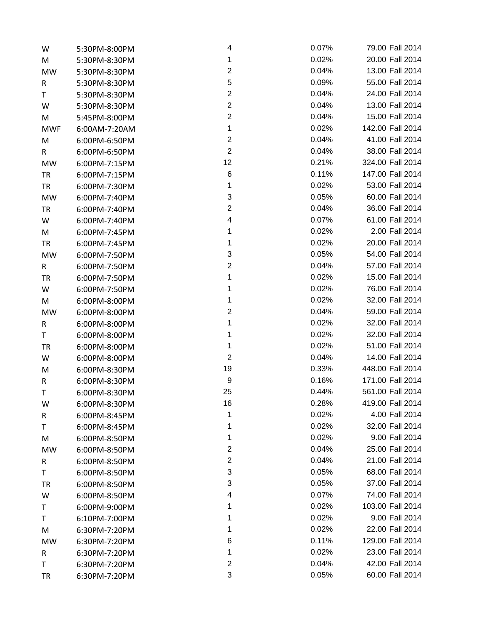| W          | 5:30PM-8:00PM | 4                       | 0.07% | 79.00 Fall 2014  |
|------------|---------------|-------------------------|-------|------------------|
| M          | 5:30PM-8:30PM | 1                       | 0.02% | 20.00 Fall 2014  |
| <b>MW</b>  | 5:30PM-8:30PM | $\boldsymbol{2}$        | 0.04% | 13.00 Fall 2014  |
| R          | 5:30PM-8:30PM | $\mathbf 5$             | 0.09% | 55.00 Fall 2014  |
| T          | 5:30PM-8:30PM | $\overline{c}$          | 0.04% | 24.00 Fall 2014  |
| W          | 5:30PM-8:30PM | $\overline{c}$          | 0.04% | 13.00 Fall 2014  |
| M          | 5:45PM-8:00PM | $\overline{c}$          | 0.04% | 15.00 Fall 2014  |
| <b>MWF</b> | 6:00AM-7:20AM | 1                       | 0.02% | 142.00 Fall 2014 |
| M          | 6:00PM-6:50PM | $\boldsymbol{2}$        | 0.04% | 41.00 Fall 2014  |
| R          | 6:00PM-6:50PM | $\boldsymbol{2}$        | 0.04% | 38.00 Fall 2014  |
| <b>MW</b>  | 6:00PM-7:15PM | 12                      | 0.21% | 324.00 Fall 2014 |
| TR         | 6:00PM-7:15PM | 6                       | 0.11% | 147.00 Fall 2014 |
| <b>TR</b>  | 6:00PM-7:30PM | 1                       | 0.02% | 53.00 Fall 2014  |
| MW         | 6:00PM-7:40PM | 3                       | 0.05% | 60.00 Fall 2014  |
| TR         | 6:00PM-7:40PM | $\boldsymbol{2}$        | 0.04% | 36.00 Fall 2014  |
| W          | 6:00PM-7:40PM | 4                       | 0.07% | 61.00 Fall 2014  |
| M          | 6:00PM-7:45PM | 1                       | 0.02% | 2.00 Fall 2014   |
| <b>TR</b>  | 6:00PM-7:45PM | 1                       | 0.02% | 20.00 Fall 2014  |
| <b>MW</b>  | 6:00PM-7:50PM | 3                       | 0.05% | 54.00 Fall 2014  |
| R          | 6:00PM-7:50PM | $\boldsymbol{2}$        | 0.04% | 57.00 Fall 2014  |
| <b>TR</b>  | 6:00PM-7:50PM | 1                       | 0.02% | 15.00 Fall 2014  |
| W          | 6:00PM-7:50PM | 1                       | 0.02% | 76.00 Fall 2014  |
| M          | 6:00PM-8:00PM | 1                       | 0.02% | 32.00 Fall 2014  |
| <b>MW</b>  | 6:00PM-8:00PM | $\boldsymbol{2}$        | 0.04% | 59.00 Fall 2014  |
| R          | 6:00PM-8:00PM | 1                       | 0.02% | 32.00 Fall 2014  |
| T          | 6:00PM-8:00PM | 1                       | 0.02% | 32.00 Fall 2014  |
| <b>TR</b>  | 6:00PM-8:00PM | 1                       | 0.02% | 51.00 Fall 2014  |
| W          | 6:00PM-8:00PM | $\overline{2}$          | 0.04% | 14.00 Fall 2014  |
| M          | 6:00PM-8:30PM | 19                      | 0.33% | 448.00 Fall 2014 |
| R          | 6:00PM-8:30PM | 9                       | 0.16% | 171.00 Fall 2014 |
| Т          | 6:00PM-8:30PM | 25                      | 0.44% | 561.00 Fall 2014 |
| W          | 6:00PM-8:30PM | 16                      | 0.28% | 419.00 Fall 2014 |
| R          | 6:00PM-8:45PM | 1                       | 0.02% | 4.00 Fall 2014   |
| Τ          | 6:00PM-8:45PM | 1                       | 0.02% | 32.00 Fall 2014  |
| M          | 6:00PM-8:50PM | 1                       | 0.02% | 9.00 Fall 2014   |
| MW         | 6:00PM-8:50PM | $\boldsymbol{2}$        | 0.04% | 25.00 Fall 2014  |
| R          | 6:00PM-8:50PM | $\boldsymbol{2}$        | 0.04% | 21.00 Fall 2014  |
| T          | 6:00PM-8:50PM | 3                       | 0.05% | 68.00 Fall 2014  |
| TR         | 6:00PM-8:50PM | 3                       | 0.05% | 37.00 Fall 2014  |
| W          | 6:00PM-8:50PM | 4                       | 0.07% | 74.00 Fall 2014  |
| Τ          | 6:00PM-9:00PM | 1                       | 0.02% | 103.00 Fall 2014 |
| Τ          | 6:10PM-7:00PM | 1                       | 0.02% | 9.00 Fall 2014   |
| M          | 6:30PM-7:20PM | 1                       | 0.02% | 22.00 Fall 2014  |
| MW         | 6:30PM-7:20PM | 6                       | 0.11% | 129.00 Fall 2014 |
| R          | 6:30PM-7:20PM | 1                       | 0.02% | 23.00 Fall 2014  |
| T          | 6:30PM-7:20PM | $\overline{\mathbf{c}}$ | 0.04% | 42.00 Fall 2014  |
| <b>TR</b>  | 6:30PM-7:20PM | 3                       | 0.05% | 60.00 Fall 2014  |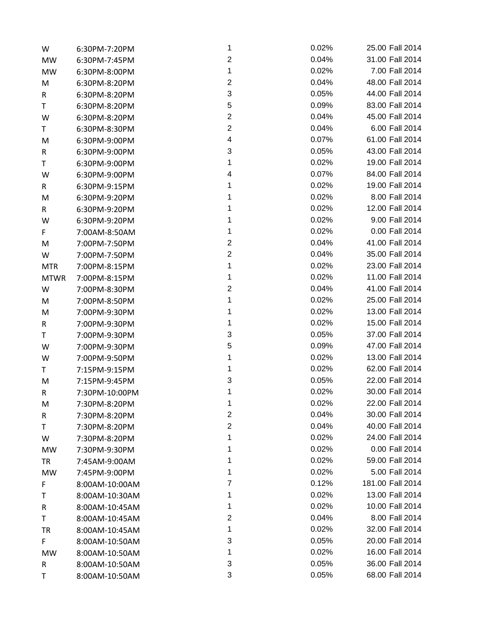| W           | 6:30PM-7:20PM  | 1                         | 0.02% | 25.00 Fall 2014  |
|-------------|----------------|---------------------------|-------|------------------|
| MW          | 6:30PM-7:45PM  | $\boldsymbol{2}$          | 0.04% | 31.00 Fall 2014  |
| MW          | 6:30PM-8:00PM  | 1                         | 0.02% | 7.00 Fall 2014   |
| M           | 6:30PM-8:20PM  | $\boldsymbol{2}$          | 0.04% | 48.00 Fall 2014  |
| R           | 6:30PM-8:20PM  | $\ensuremath{\mathsf{3}}$ | 0.05% | 44.00 Fall 2014  |
| T           | 6:30PM-8:20PM  | 5                         | 0.09% | 83.00 Fall 2014  |
| W           | 6:30PM-8:20PM  | $\boldsymbol{2}$          | 0.04% | 45.00 Fall 2014  |
| T           | 6:30PM-8:30PM  | $\boldsymbol{2}$          | 0.04% | 6.00 Fall 2014   |
| M           | 6:30PM-9:00PM  | 4                         | 0.07% | 61.00 Fall 2014  |
| R           | 6:30PM-9:00PM  | 3                         | 0.05% | 43.00 Fall 2014  |
| T           | 6:30PM-9:00PM  | 1                         | 0.02% | 19.00 Fall 2014  |
| W           | 6:30PM-9:00PM  | 4                         | 0.07% | 84.00 Fall 2014  |
| R           | 6:30PM-9:15PM  | 1                         | 0.02% | 19.00 Fall 2014  |
| M           | 6:30PM-9:20PM  | 1                         | 0.02% | 8.00 Fall 2014   |
| R           | 6:30PM-9:20PM  | 1                         | 0.02% | 12.00 Fall 2014  |
| W           | 6:30PM-9:20PM  | 1                         | 0.02% | 9.00 Fall 2014   |
| F           | 7:00AM-8:50AM  | 1                         | 0.02% | 0.00 Fall 2014   |
| M           | 7:00PM-7:50PM  | $\boldsymbol{2}$          | 0.04% | 41.00 Fall 2014  |
| W           | 7:00PM-7:50PM  | $\boldsymbol{2}$          | 0.04% | 35.00 Fall 2014  |
| <b>MTR</b>  | 7:00PM-8:15PM  | 1                         | 0.02% | 23.00 Fall 2014  |
| <b>MTWR</b> | 7:00PM-8:15PM  | 1                         | 0.02% | 11.00 Fall 2014  |
| W           | 7:00PM-8:30PM  | $\boldsymbol{2}$          | 0.04% | 41.00 Fall 2014  |
| M           | 7:00PM-8:50PM  | 1                         | 0.02% | 25.00 Fall 2014  |
| M           | 7:00PM-9:30PM  | 1                         | 0.02% | 13.00 Fall 2014  |
| R           | 7:00PM-9:30PM  | 1                         | 0.02% | 15.00 Fall 2014  |
| T           | 7:00PM-9:30PM  | 3                         | 0.05% | 37.00 Fall 2014  |
| W           | 7:00PM-9:30PM  | 5                         | 0.09% | 47.00 Fall 2014  |
| W           | 7:00PM-9:50PM  | 1                         | 0.02% | 13.00 Fall 2014  |
| T           | 7:15PM-9:15PM  | 1                         | 0.02% | 62.00 Fall 2014  |
| M           | 7:15PM-9:45PM  | 3                         | 0.05% | 22.00 Fall 2014  |
| R           | 7:30PM-10:00PM | 1                         | 0.02% | 30.00 Fall 2014  |
| M           | 7:30PM-8:20PM  | 1                         | 0.02% | 22.00 Fall 2014  |
| R           | 7:30PM-8:20PM  | $\boldsymbol{2}$          | 0.04% | 30.00 Fall 2014  |
| Τ           | 7:30PM-8:20PM  | $\boldsymbol{2}$          | 0.04% | 40.00 Fall 2014  |
| W           | 7:30PM-8:20PM  | 1                         | 0.02% | 24.00 Fall 2014  |
| MW          | 7:30PM-9:30PM  | 1                         | 0.02% | 0.00 Fall 2014   |
| TR          | 7:45AM-9:00AM  | 1                         | 0.02% | 59.00 Fall 2014  |
| MW          | 7:45PM-9:00PM  | 1                         | 0.02% | 5.00 Fall 2014   |
| F           | 8:00AM-10:00AM | 7                         | 0.12% | 181.00 Fall 2014 |
| Τ           | 8:00AM-10:30AM | 1                         | 0.02% | 13.00 Fall 2014  |
| R           | 8:00AM-10:45AM | 1                         | 0.02% | 10.00 Fall 2014  |
| Τ           | 8:00AM-10:45AM | 2                         | 0.04% | 8.00 Fall 2014   |
| TR          | 8:00AM-10:45AM | 1                         | 0.02% | 32.00 Fall 2014  |
| F.          | 8:00AM-10:50AM | 3                         | 0.05% | 20.00 Fall 2014  |
| MW          | 8:00AM-10:50AM | 1                         | 0.02% | 16.00 Fall 2014  |
| R           | 8:00AM-10:50AM | 3                         | 0.05% | 36.00 Fall 2014  |
| Τ           | 8:00AM-10:50AM | 3                         | 0.05% | 68.00 Fall 2014  |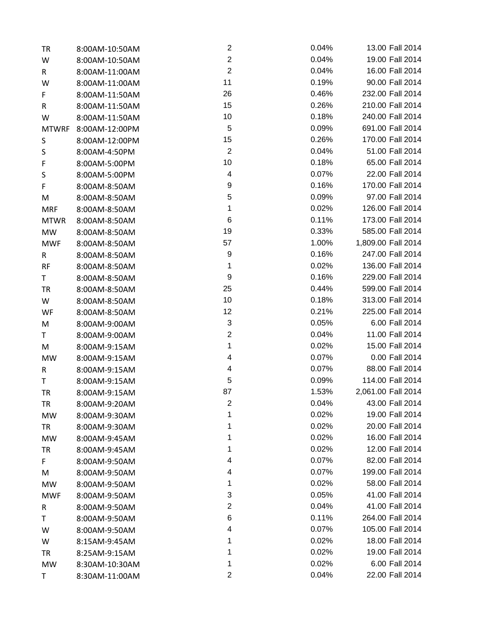| TR           | 8:00AM-10:50AM | 2                         | 0.04% | 13.00 Fall 2014    |
|--------------|----------------|---------------------------|-------|--------------------|
| W            | 8:00AM-10:50AM | $\boldsymbol{2}$          | 0.04% | 19.00 Fall 2014    |
| R            | 8:00AM-11:00AM | $\overline{2}$            | 0.04% | 16.00 Fall 2014    |
| W            | 8:00AM-11:00AM | 11                        | 0.19% | 90.00 Fall 2014    |
| F            | 8:00AM-11:50AM | 26                        | 0.46% | 232.00 Fall 2014   |
| R            | 8:00AM-11:50AM | 15                        | 0.26% | 210.00 Fall 2014   |
| W            | 8:00AM-11:50AM | 10                        | 0.18% | 240.00 Fall 2014   |
| <b>MTWRF</b> | 8:00AM-12:00PM | $\sqrt{5}$                | 0.09% | 691.00 Fall 2014   |
| S            | 8:00AM-12:00PM | 15                        | 0.26% | 170.00 Fall 2014   |
| S            | 8:00AM-4:50PM  | $\overline{2}$            | 0.04% | 51.00 Fall 2014    |
| F            | 8:00AM-5:00PM  | 10                        | 0.18% | 65.00 Fall 2014    |
| S            | 8:00AM-5:00PM  | 4                         | 0.07% | 22.00 Fall 2014    |
| F            | 8:00AM-8:50AM  | 9                         | 0.16% | 170.00 Fall 2014   |
| M            | 8:00AM-8:50AM  | $\mathbf 5$               | 0.09% | 97.00 Fall 2014    |
| <b>MRF</b>   | 8:00AM-8:50AM  | 1                         | 0.02% | 126.00 Fall 2014   |
| <b>MTWR</b>  | 8:00AM-8:50AM  | $\,6$                     | 0.11% | 173.00 Fall 2014   |
| <b>MW</b>    | 8:00AM-8:50AM  | 19                        | 0.33% | 585.00 Fall 2014   |
| <b>MWF</b>   | 8:00AM-8:50AM  | 57                        | 1.00% | 1,809.00 Fall 2014 |
| R            | 8:00AM-8:50AM  | 9                         | 0.16% | 247.00 Fall 2014   |
| RF           | 8:00AM-8:50AM  | 1                         | 0.02% | 136.00 Fall 2014   |
| T.           | 8:00AM-8:50AM  | 9                         | 0.16% | 229.00 Fall 2014   |
| TR           | 8:00AM-8:50AM  | 25                        | 0.44% | 599.00 Fall 2014   |
| W            | 8:00AM-8:50AM  | 10                        | 0.18% | 313.00 Fall 2014   |
| WF           | 8:00AM-8:50AM  | 12                        | 0.21% | 225.00 Fall 2014   |
| M            | 8:00AM-9:00AM  | $\ensuremath{\mathsf{3}}$ | 0.05% | 6.00 Fall 2014     |
| T            | 8:00AM-9:00AM  | $\overline{c}$            | 0.04% | 11.00 Fall 2014    |
| M            | 8:00AM-9:15AM  | 1                         | 0.02% | 15.00 Fall 2014    |
| MW           | 8:00AM-9:15AM  | 4                         | 0.07% | 0.00 Fall 2014     |
| R            | 8:00AM-9:15AM  | 4                         | 0.07% | 88.00 Fall 2014    |
| T            | 8:00AM-9:15AM  | 5                         | 0.09% | 114.00 Fall 2014   |
| TR           | 8:00AM-9:15AM  | 87                        | 1.53% | 2,061.00 Fall 2014 |
| TR           | 8:00AM-9:20AM  | $\mathbf{2}$              | 0.04% | 43.00 Fall 2014    |
| MW           | 8:00AM-9:30AM  | 1                         | 0.02% | 19.00 Fall 2014    |
| TR           | 8:00AM-9:30AM  | 1                         | 0.02% | 20.00 Fall 2014    |
| <b>MW</b>    | 8:00AM-9:45AM  | 1                         | 0.02% | 16.00 Fall 2014    |
| TR           | 8:00AM-9:45AM  | 1                         | 0.02% | 12.00 Fall 2014    |
| F.           | 8:00AM-9:50AM  | 4                         | 0.07% | 82.00 Fall 2014    |
| M            | 8:00AM-9:50AM  | 4                         | 0.07% | 199.00 Fall 2014   |
| MW           | 8:00AM-9:50AM  | 1                         | 0.02% | 58.00 Fall 2014    |
| <b>MWF</b>   | 8:00AM-9:50AM  | 3                         | 0.05% | 41.00 Fall 2014    |
| R            | 8:00AM-9:50AM  | $\mathbf{2}$              | 0.04% | 41.00 Fall 2014    |
| Τ            | 8:00AM-9:50AM  | 6                         | 0.11% | 264.00 Fall 2014   |
| W            | 8:00AM-9:50AM  | 4                         | 0.07% | 105.00 Fall 2014   |
| W            | 8:15AM-9:45AM  | 1                         | 0.02% | 18.00 Fall 2014    |
| TR           | 8:25AM-9:15AM  | 1                         | 0.02% | 19.00 Fall 2014    |
| MW           | 8:30AM-10:30AM | 1                         | 0.02% | 6.00 Fall 2014     |
| T            | 8:30AM-11:00AM | 2                         | 0.04% | 22.00 Fall 2014    |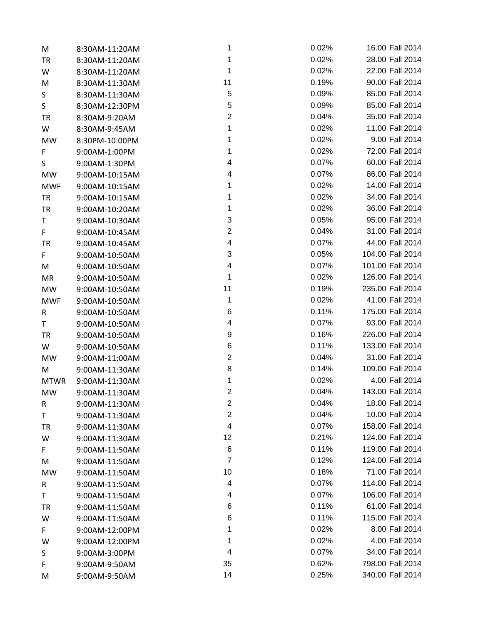| M           | 8:30AM-11:20AM | 1                       | 0.02% | 16.00 Fall 2014  |
|-------------|----------------|-------------------------|-------|------------------|
| TR          | 8:30AM-11:20AM | 1                       | 0.02% | 28.00 Fall 2014  |
| W           | 8:30AM-11:20AM | 1                       | 0.02% | 22.00 Fall 2014  |
| M           | 8:30AM-11:30AM | 11                      | 0.19% | 90.00 Fall 2014  |
| S           | 8:30AM-11:30AM | 5                       | 0.09% | 85.00 Fall 2014  |
| S           | 8:30AM-12:30PM | 5                       | 0.09% | 85.00 Fall 2014  |
| <b>TR</b>   | 8:30AM-9:20AM  | $\overline{2}$          | 0.04% | 35.00 Fall 2014  |
| W           | 8:30AM-9:45AM  | 1                       | 0.02% | 11.00 Fall 2014  |
| <b>MW</b>   | 8:30PM-10:00PM | 1                       | 0.02% | 9.00 Fall 2014   |
| F           | 9:00AM-1:00PM  | 1                       | 0.02% | 72.00 Fall 2014  |
| S           | 9:00AM-1:30PM  | 4                       | 0.07% | 60.00 Fall 2014  |
| MW          | 9:00AM-10:15AM | 4                       | 0.07% | 86.00 Fall 2014  |
| <b>MWF</b>  | 9:00AM-10:15AM | 1                       | 0.02% | 14.00 Fall 2014  |
| TR          | 9:00AM-10:15AM | 1                       | 0.02% | 34.00 Fall 2014  |
| <b>TR</b>   | 9:00AM-10:20AM | 1                       | 0.02% | 36.00 Fall 2014  |
| T           | 9:00AM-10:30AM | 3                       | 0.05% | 95.00 Fall 2014  |
| F           | 9:00AM-10:45AM | $\overline{\mathbf{c}}$ | 0.04% | 31.00 Fall 2014  |
| TR          | 9:00AM-10:45AM | 4                       | 0.07% | 44.00 Fall 2014  |
| F           | 9:00AM-10:50AM | 3                       | 0.05% | 104.00 Fall 2014 |
| M           | 9:00AM-10:50AM | 4                       | 0.07% | 101.00 Fall 2014 |
| MR          | 9:00AM-10:50AM | 1                       | 0.02% | 126.00 Fall 2014 |
| MW          | 9:00AM-10:50AM | 11                      | 0.19% | 235.00 Fall 2014 |
| <b>MWF</b>  | 9:00AM-10:50AM | 1                       | 0.02% | 41.00 Fall 2014  |
| R           | 9:00AM-10:50AM | 6                       | 0.11% | 175.00 Fall 2014 |
| T           | 9:00AM-10:50AM | 4                       | 0.07% | 93.00 Fall 2014  |
| TR          | 9:00AM-10:50AM | 9                       | 0.16% | 226.00 Fall 2014 |
| W           | 9:00AM-10:50AM | 6                       | 0.11% | 133.00 Fall 2014 |
| MW          | 9:00AM-11:00AM | $\mathbf{2}$            | 0.04% | 31.00 Fall 2014  |
| M           | 9:00AM-11:30AM | 8                       | 0.14% | 109.00 Fall 2014 |
| <b>MTWR</b> | 9:00AM-11:30AM | 1                       | 0.02% | 4.00 Fall 2014   |
| MW          | 9:00AM-11:30AM | $\overline{2}$          | 0.04% | 143.00 Fall 2014 |
| R           | 9:00AM-11:30AM | $\overline{\mathbf{c}}$ | 0.04% | 18.00 Fall 2014  |
| Τ           | 9:00AM-11:30AM | $\overline{c}$          | 0.04% | 10.00 Fall 2014  |
| TR          | 9:00AM-11:30AM | 4                       | 0.07% | 158.00 Fall 2014 |
| W           | 9:00AM-11:30AM | 12                      | 0.21% | 124.00 Fall 2014 |
| F           | 9:00AM-11:50AM | 6                       | 0.11% | 119.00 Fall 2014 |
| M           | 9:00AM-11:50AM | $\overline{7}$          | 0.12% | 124.00 Fall 2014 |
| MW          | 9:00AM-11:50AM | 10                      | 0.18% | 71.00 Fall 2014  |
| R           | 9:00AM-11:50AM | 4                       | 0.07% | 114.00 Fall 2014 |
| Τ           | 9:00AM-11:50AM | 4                       | 0.07% | 106.00 Fall 2014 |
| TR          | 9:00AM-11:50AM | 6                       | 0.11% | 61.00 Fall 2014  |
| W           | 9:00AM-11:50AM | 6                       | 0.11% | 115.00 Fall 2014 |
| F           | 9:00AM-12:00PM | 1                       | 0.02% | 8.00 Fall 2014   |
| W           | 9:00AM-12:00PM | 1                       | 0.02% | 4.00 Fall 2014   |
| S           | 9:00AM-3:00PM  | 4                       | 0.07% | 34.00 Fall 2014  |
| F           | 9:00AM-9:50AM  | 35                      | 0.62% | 798.00 Fall 2014 |
| M           | 9:00AM-9:50AM  | 14                      | 0.25% | 340.00 Fall 2014 |